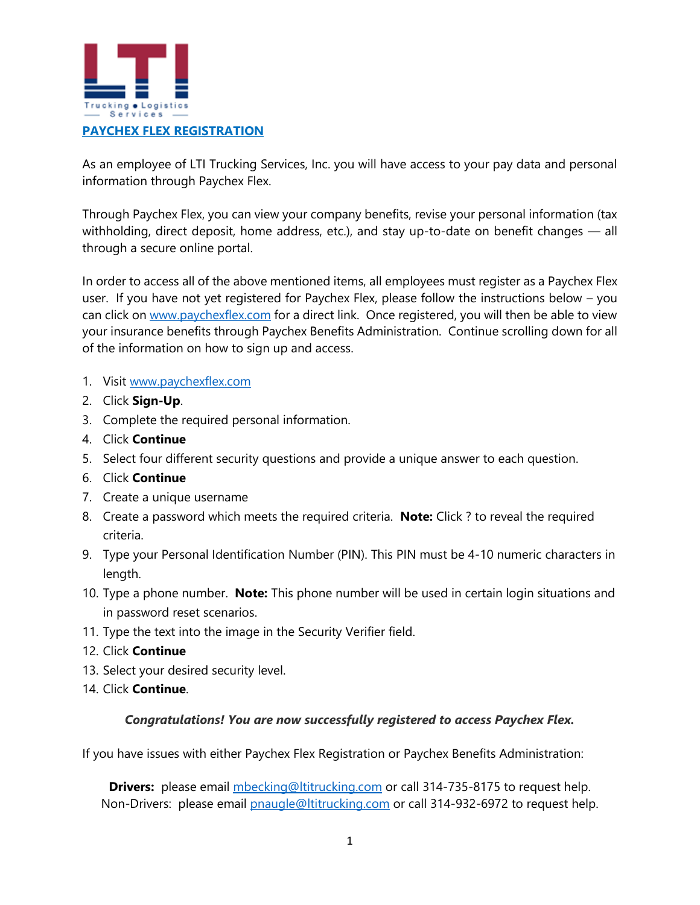

As an employee of LTI Trucking Services, Inc. you will have access to your pay data and personal information through Paychex Flex.

Through Paychex Flex, you can view your company benefits, revise your personal information (tax withholding, direct deposit, home address, etc.), and stay up-to-date on benefit changes — all through a secure online portal.

In order to access all of the above mentioned items, all employees must register as a Paychex Flex user. If you have not yet registered for Paychex Flex, please follow the instructions below – you can click on [www.paychexflex.com](http://www.paychexflex.com/) for a direct link. Once registered, you will then be able to view your insurance benefits through Paychex Benefits Administration. Continue scrolling down for all of the information on how to sign up and access.

- 1. Visit [www.paychexflex.com](http://www.paychexflex.com/)
- 2. Click **Sign-Up**.
- 3. Complete the required personal information.
- 4. Click **Continue**
- 5. Select four different security questions and provide a unique answer to each question.
- 6. Click **Continue**
- 7. Create a unique username
- 8. Create a password which meets the required criteria. **Note:** Click ? to reveal the required criteria.
- 9. Type your Personal Identification Number (PIN). This PIN must be 4-10 numeric characters in length.
- 10. Type a phone number. **Note:** This phone number will be used in certain login situations and in password reset scenarios.
- 11. Type the text into the image in the Security Verifier field.
- 12. Click **Continue**
- 13. Select your desired security level.
- 14. Click **Continue**.

## *Congratulations! You are now successfully registered to access Paychex Flex.*

If you have issues with either Paychex Flex Registration or Paychex Benefits Administration:

**Drivers:** please email [mbecking@ltitrucking.com](mailto:mbecking@ltitrucking.com) or call 314-735-8175 to request help. Non-Drivers: please email **pnaugle@ltitrucking.com** or call 314-932-6972 to request help.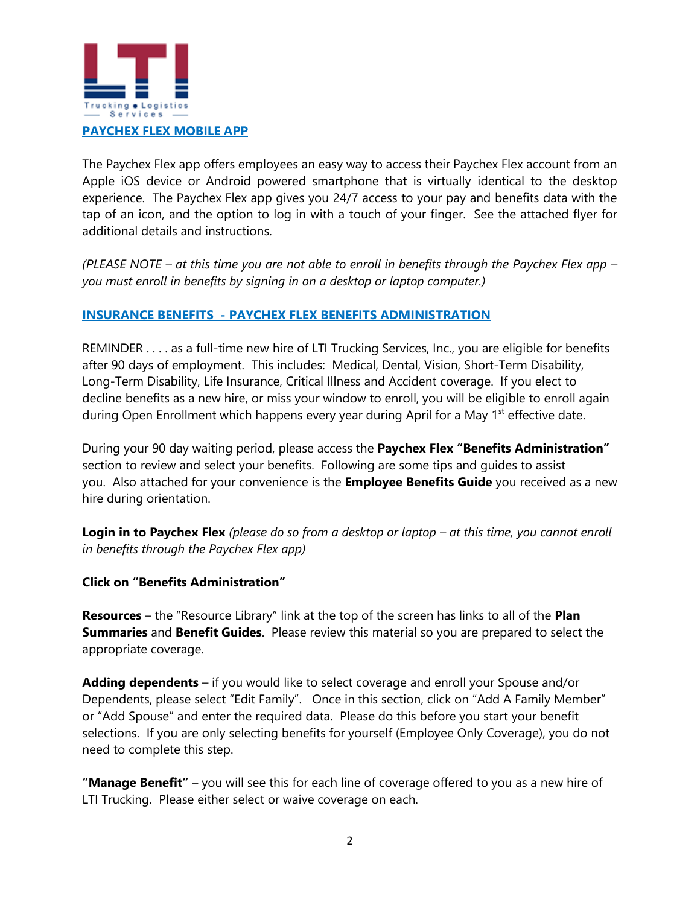

The Paychex Flex app offers employees an easy way to access their Paychex Flex account from an Apple iOS device or Android powered smartphone that is virtually identical to the desktop experience. The Paychex Flex app gives you 24/7 access to your pay and benefits data with the tap of an icon, and the option to log in with a touch of your finger. See the attached flyer for additional details and instructions.

*(PLEASE NOTE – at this time you are not able to enroll in benefits through the Paychex Flex app – you must enroll in benefits by signing in on a desktop or laptop computer.)*

## **INSURANCE BENEFITS - PAYCHEX FLEX BENEFITS ADMINISTRATION**

REMINDER . . . . as a full-time new hire of LTI Trucking Services, Inc., you are eligible for benefits after 90 days of employment. This includes: Medical, Dental, Vision, Short-Term Disability, Long-Term Disability, Life Insurance, Critical Illness and Accident coverage. If you elect to decline benefits as a new hire, or miss your window to enroll, you will be eligible to enroll again during Open Enrollment which happens every year during April for a May 1<sup>st</sup> effective date.

During your 90 day waiting period, please access the **Paychex Flex "Benefits Administration"** section to review and select your benefits. Following are some tips and guides to assist you. Also attached for your convenience is the **Employee Benefits Guide** you received as a new hire during orientation.

**Login in to Paychex Flex** (please do so from a desktop or laptop – at this time, you cannot enroll *in benefits through the Paychex Flex app)*

**Click on "Benefits Administration"**

**Resources** – the "Resource Library" link at the top of the screen has links to all of the **Plan Summaries** and **Benefit Guides**. Please review this material so you are prepared to select the appropriate coverage.

**Adding dependents** – if you would like to select coverage and enroll your Spouse and/or Dependents, please select "Edit Family". Once in this section, click on "Add A Family Member" or "Add Spouse" and enter the required data. Please do this before you start your benefit selections. If you are only selecting benefits for yourself (Employee Only Coverage), you do not need to complete this step.

**"Manage Benefit"** – you will see this for each line of coverage offered to you as a new hire of LTI Trucking. Please either select or waive coverage on each.